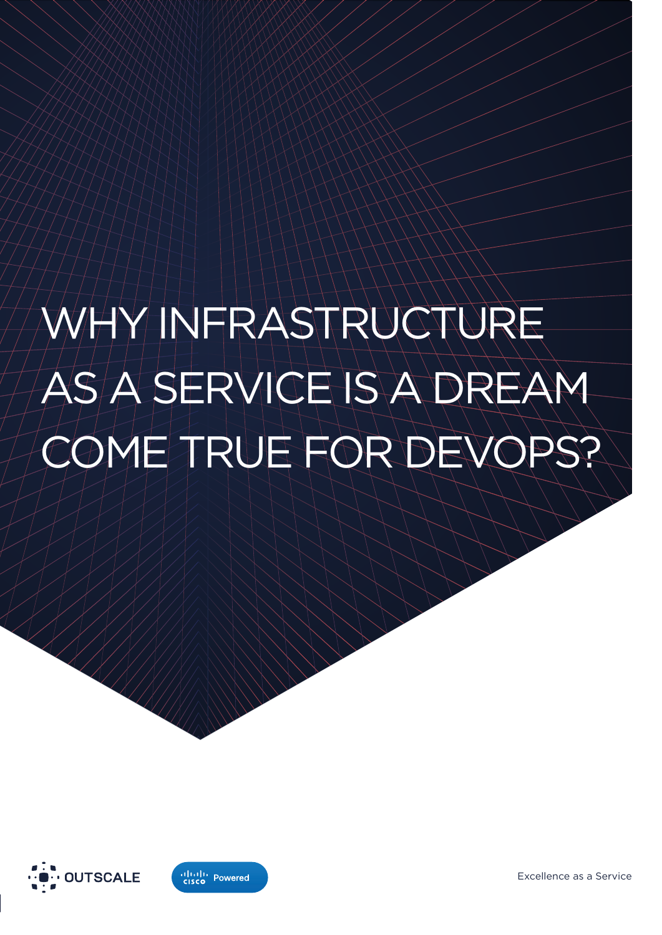# INFRASTRUCTURE SERVICE IS A DREAM OME TRUE FOR DEVOPS?





Excellence as a Service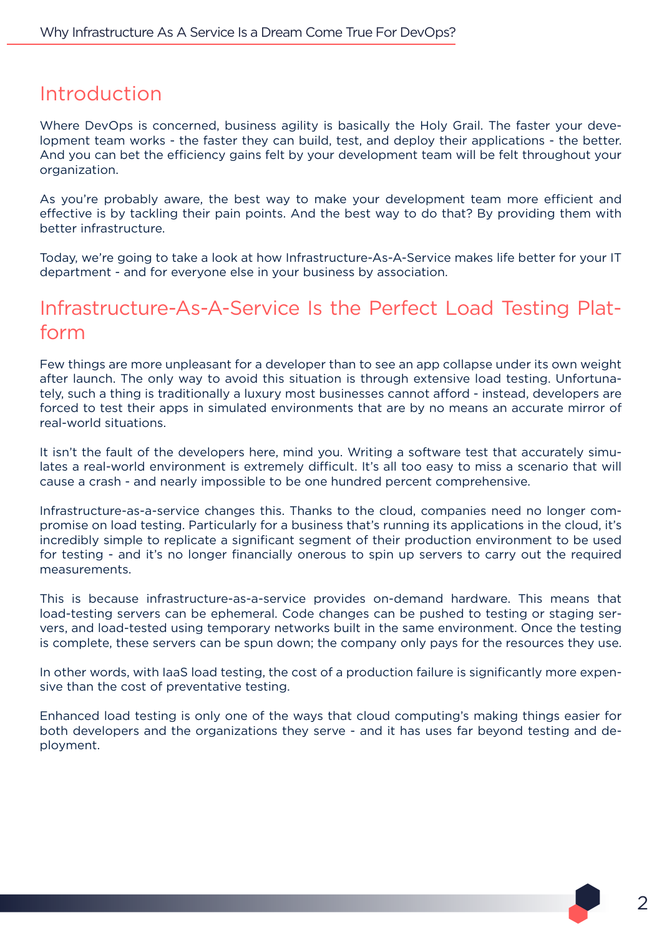#### Introduction

Where DevOps is concerned, business agility is basically the Holy Grail. The faster your development team works - the faster they can build, test, and deploy their applications - the better. And you can bet the efficiency gains felt by your development team will be felt throughout your organization.

As you're probably aware, the best way to make your development team more efficient and effective is by tackling their pain points. And the best way to do that? By providing them with better infrastructure.

Today, we're going to take a look at how Infrastructure-As-A-Service makes life better for your IT department - and for everyone else in your business by association.

#### Infrastructure-As-A-Service Is the Perfect Load Testing Platform

Few things are more unpleasant for a developer than to see an app collapse under its own weight after launch. The only way to avoid this situation is through extensive load testing. Unfortunately, such a thing is traditionally a luxury most businesses cannot afford - instead, developers are forced to test their apps in simulated environments that are by no means an accurate mirror of real-world situations.

It isn't the fault of the developers here, mind you. Writing a software test that accurately simulates a real-world environment is extremely difficult. It's all too easy to miss a scenario that will cause a crash - and nearly impossible to be one hundred percent comprehensive.

Infrastructure-as-a-service changes this. Thanks to the cloud, companies need no longer compromise on load testing. Particularly for a business that's running its applications in the cloud, it's incredibly simple to replicate a significant segment of their production environment to be used for testing - and it's no longer financially onerous to spin up servers to carry out the required measurements.

This is because infrastructure-as-a-service provides on-demand hardware. This means that load-testing servers can be ephemeral. Code changes can be pushed to testing or staging servers, and load-tested using temporary networks built in the same environment. Once the testing is complete, these servers can be spun down; the company only pays for the resources they use.

In other words, with IaaS load testing, the cost of a production failure is significantly more expensive than the cost of preventative testing.

Enhanced load testing is only one of the ways that cloud computing's making things easier for both developers and the organizations they serve - and it has uses far beyond testing and deployment.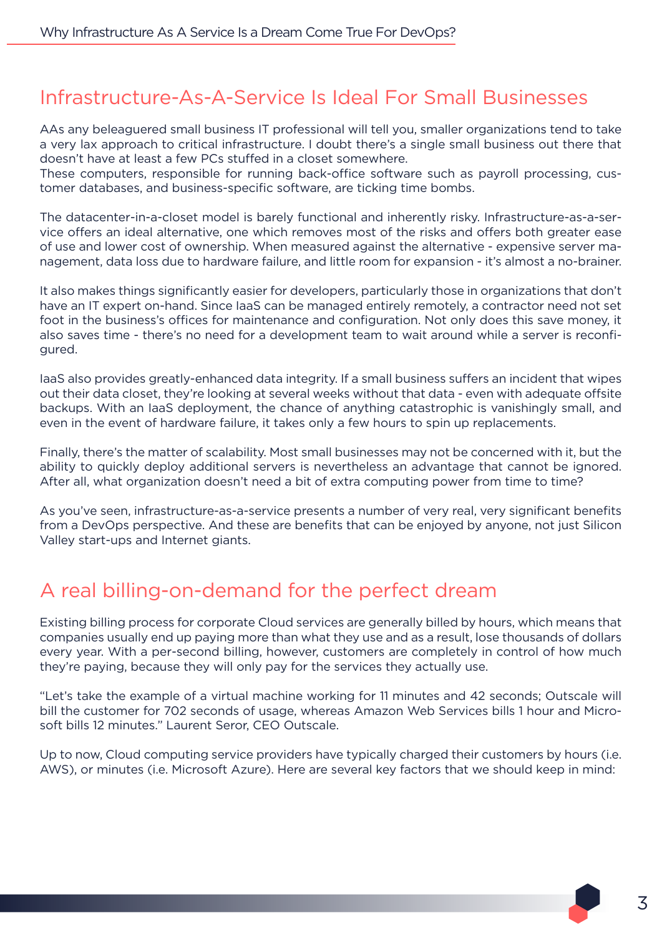#### Infrastructure-As-A-Service Is Ideal For Small Businesses

AAs any beleaguered small business IT professional will tell you, smaller organizations tend to take a very lax approach to critical infrastructure. I doubt there's a single small business out there that doesn't have at least a few PCs stuffed in a closet somewhere.

These computers, responsible for running back-office software such as payroll processing, customer databases, and business-specific software, are ticking time bombs.

The datacenter-in-a-closet model is barely functional and inherently risky. Infrastructure-as-a-service offers an ideal alternative, one which removes most of the risks and offers both greater ease of use and lower cost of ownership. When measured against the alternative - expensive server management, data loss due to hardware failure, and little room for expansion - it's almost a no-brainer.

It also makes things significantly easier for developers, particularly those in organizations that don't have an IT expert on-hand. Since IaaS can be managed entirely remotely, a contractor need not set foot in the business's offices for maintenance and configuration. Not only does this save money, it also saves time - there's no need for a development team to wait around while a server is reconfigured.

IaaS also provides greatly-enhanced data integrity. If a small business suffers an incident that wipes out their data closet, they're looking at several weeks without that data - even with adequate offsite backups. With an IaaS deployment, the chance of anything catastrophic is vanishingly small, and even in the event of hardware failure, it takes only a few hours to spin up replacements.

Finally, there's the matter of scalability. Most small businesses may not be concerned with it, but the ability to quickly deploy additional servers is nevertheless an advantage that cannot be ignored. After all, what organization doesn't need a bit of extra computing power from time to time?

As you've seen, infrastructure-as-a-service presents a number of very real, very significant benefits from a DevOps perspective. And these are benefits that can be enjoyed by anyone, not just Silicon Valley start-ups and Internet giants.

### A real billing-on-demand for the perfect dream

Existing billing process for corporate Cloud services are generally billed by hours, which means that companies usually end up paying more than what they use and as a result, lose thousands of dollars every year. With a per-second billing, however, customers are completely in control of how much they're paying, because they will only pay for the services they actually use.

"Let's take the example of a virtual machine working for 11 minutes and 42 seconds; Outscale will bill the customer for 702 seconds of usage, whereas Amazon Web Services bills 1 hour and Microsoft bills 12 minutes." Laurent Seror, CEO Outscale.

Up to now, Cloud computing service providers have typically charged their customers by hours (i.e. AWS), or minutes (i.e. Microsoft Azure). Here are several key factors that we should keep in mind: